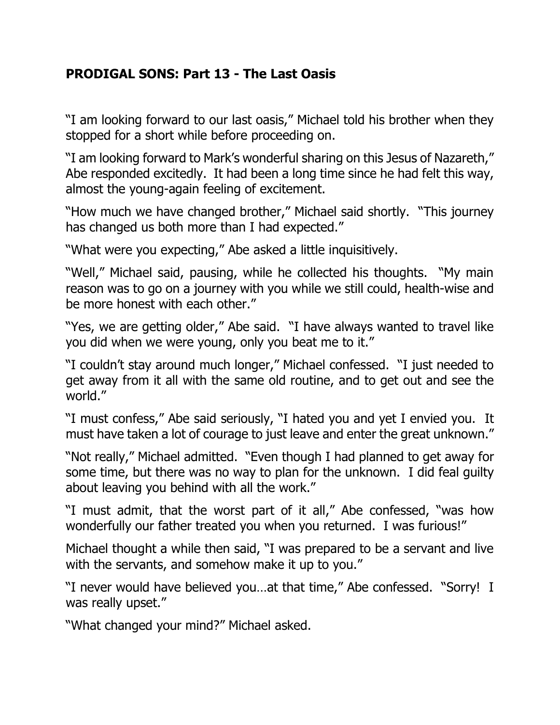## **PRODIGAL SONS: Part 13 - The Last Oasis**

"I am looking forward to our last oasis," Michael told his brother when they stopped for a short while before proceeding on.

"I am looking forward to Mark's wonderful sharing on this Jesus of Nazareth," Abe responded excitedly. It had been a long time since he had felt this way, almost the young-again feeling of excitement.

"How much we have changed brother," Michael said shortly. "This journey has changed us both more than I had expected."

"What were you expecting," Abe asked a little inquisitively.

"Well," Michael said, pausing, while he collected his thoughts. "My main reason was to go on a journey with you while we still could, health-wise and be more honest with each other."

"Yes, we are getting older," Abe said. "I have always wanted to travel like you did when we were young, only you beat me to it."

"I couldn't stay around much longer," Michael confessed. "I just needed to get away from it all with the same old routine, and to get out and see the world."

"I must confess," Abe said seriously, "I hated you and yet I envied you. It must have taken a lot of courage to just leave and enter the great unknown."

"Not really," Michael admitted. "Even though I had planned to get away for some time, but there was no way to plan for the unknown. I did feal guilty about leaving you behind with all the work."

"I must admit, that the worst part of it all," Abe confessed, "was how wonderfully our father treated you when you returned. I was furious!"

Michael thought a while then said, "I was prepared to be a servant and live with the servants, and somehow make it up to you."

"I never would have believed you…at that time," Abe confessed. "Sorry! I was really upset."

"What changed your mind?" Michael asked.